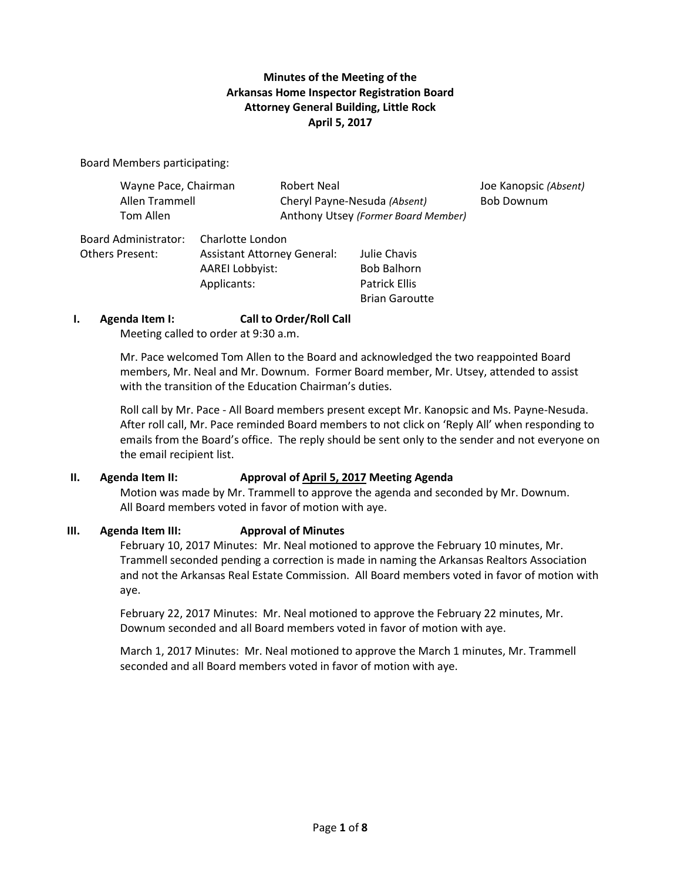# **Minutes of the Meeting of the Arkansas Home Inspector Registration Board Attorney General Building, Little Rock April 5, 2017**

Board Members participating:

| Wayne Pace, Chairman |                  | Robert Neal                         | Joe Kanopsic (Absent) |
|----------------------|------------------|-------------------------------------|-----------------------|
| Allen Trammell       |                  | Cheryl Payne-Nesuda (Absent)        | <b>Bob Downum</b>     |
| Tom Allen            |                  | Anthony Utsey (Former Board Member) |                       |
| ' ^dminictrator ا    | Charlotte London |                                     |                       |

Board Administrator: Charlotte London Others Present: Assistant Attorney General: Julie Chavis AAREI Lobbyist: Bob Balhorn Applicants: Patrick Ellis Brian Garoutte

### **I. Agenda Item I: Call to Order/Roll Call**

Meeting called to order at 9:30 a.m.

Mr. Pace welcomed Tom Allen to the Board and acknowledged the two reappointed Board members, Mr. Neal and Mr. Downum. Former Board member, Mr. Utsey, attended to assist with the transition of the Education Chairman's duties.

Roll call by Mr. Pace - All Board members present except Mr. Kanopsic and Ms. Payne-Nesuda. After roll call, Mr. Pace reminded Board members to not click on 'Reply All' when responding to emails from the Board's office. The reply should be sent only to the sender and not everyone on the email recipient list.

### **II. Agenda Item II: Approval of April 5, 2017 Meeting Agenda**

Motion was made by Mr. Trammell to approve the agenda and seconded by Mr. Downum. All Board members voted in favor of motion with aye.

### **III. Agenda Item III: Approval of Minutes**

February 10, 2017 Minutes: Mr. Neal motioned to approve the February 10 minutes, Mr. Trammell seconded pending a correction is made in naming the Arkansas Realtors Association and not the Arkansas Real Estate Commission. All Board members voted in favor of motion with aye.

February 22, 2017 Minutes: Mr. Neal motioned to approve the February 22 minutes, Mr. Downum seconded and all Board members voted in favor of motion with aye.

March 1, 2017 Minutes: Mr. Neal motioned to approve the March 1 minutes, Mr. Trammell seconded and all Board members voted in favor of motion with aye.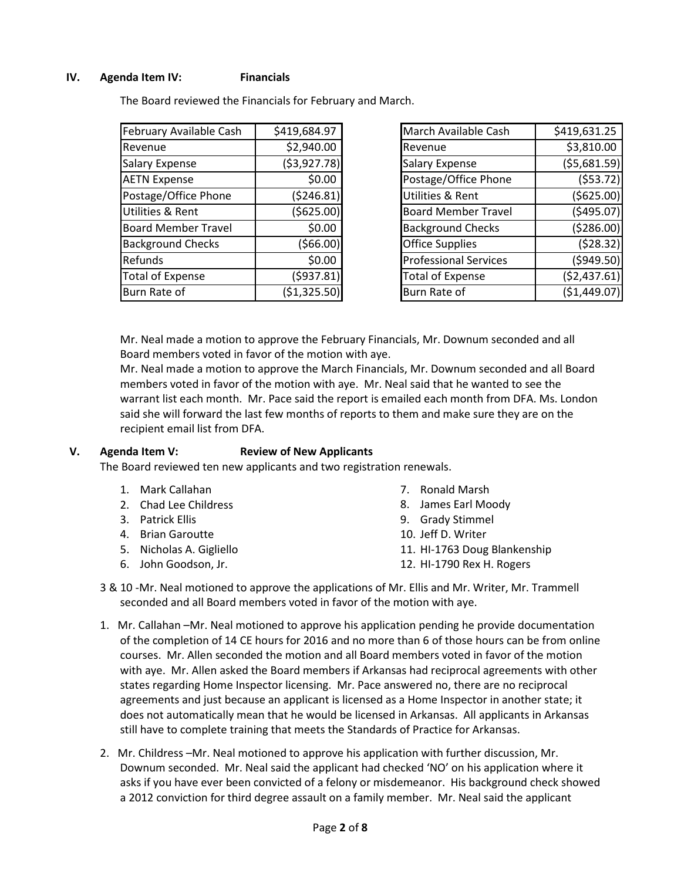### **IV. Agenda Item IV: Financials**

The Board reviewed the Financials for February and March.

| February Available Cash    | \$419,684.97  |
|----------------------------|---------------|
| Revenue                    | \$2,940.00    |
| <b>Salary Expense</b>      | ( \$3,927.78) |
| <b>AETN Expense</b>        | \$0.00        |
| Postage/Office Phone       | (5246.81)     |
| Utilities & Rent           | (5625.00)     |
| <b>Board Member Travel</b> | \$0.00        |
| <b>Background Checks</b>   | (566.00)      |
| Refunds                    | \$0.00        |
| <b>Total of Expense</b>    | (5937.81)     |
| Burn Rate of               | ( \$1,325.50) |

| March Available Cash         | \$419,631.25  |
|------------------------------|---------------|
| Revenue                      | \$3,810.00    |
| <b>Salary Expense</b>        | (55,681.59)   |
| Postage/Office Phone         | (553.72)      |
| <b>Utilities &amp; Rent</b>  | ( \$625.00)   |
| <b>Board Member Travel</b>   | (5495.07)     |
| <b>Background Checks</b>     | (5286.00)     |
| <b>Office Supplies</b>       | (528.32)      |
| <b>Professional Services</b> | (5949.50)     |
| <b>Total of Expense</b>      | (52, 437.61)  |
| Burn Rate of                 | ( \$1,449.07) |

Mr. Neal made a motion to approve the February Financials, Mr. Downum seconded and all Board members voted in favor of the motion with aye.

Mr. Neal made a motion to approve the March Financials, Mr. Downum seconded and all Board members voted in favor of the motion with aye. Mr. Neal said that he wanted to see the warrant list each month. Mr. Pace said the report is emailed each month from DFA. Ms. London said she will forward the last few months of reports to them and make sure they are on the recipient email list from DFA.

### **V. Agenda Item V: Review of New Applicants**

The Board reviewed ten new applicants and two registration renewals.

- 1. Mark Callahan
- 2. Chad Lee Childress
- 3. Patrick Ellis
- 4. Brian Garoutte
- 5. Nicholas A. Gigliello
- 6. John Goodson, Jr.
- 7. Ronald Marsh
- 8. James Earl Moody
- 9. Grady Stimmel
- 10. Jeff D. Writer
- 11. HI-1763 Doug Blankenship
- 12. HI-1790 Rex H. Rogers
- 3 & 10 -Mr. Neal motioned to approve the applications of Mr. Ellis and Mr. Writer, Mr. Trammell seconded and all Board members voted in favor of the motion with aye.
- 1. Mr. Callahan –Mr. Neal motioned to approve his application pending he provide documentation of the completion of 14 CE hours for 2016 and no more than 6 of those hours can be from online courses. Mr. Allen seconded the motion and all Board members voted in favor of the motion with aye. Mr. Allen asked the Board members if Arkansas had reciprocal agreements with other states regarding Home Inspector licensing. Mr. Pace answered no, there are no reciprocal agreements and just because an applicant is licensed as a Home Inspector in another state; it does not automatically mean that he would be licensed in Arkansas. All applicants in Arkansas still have to complete training that meets the Standards of Practice for Arkansas.
- 2. Mr. Childress –Mr. Neal motioned to approve his application with further discussion, Mr. Downum seconded. Mr. Neal said the applicant had checked 'NO' on his application where it asks if you have ever been convicted of a felony or misdemeanor. His background check showed a 2012 conviction for third degree assault on a family member. Mr. Neal said the applicant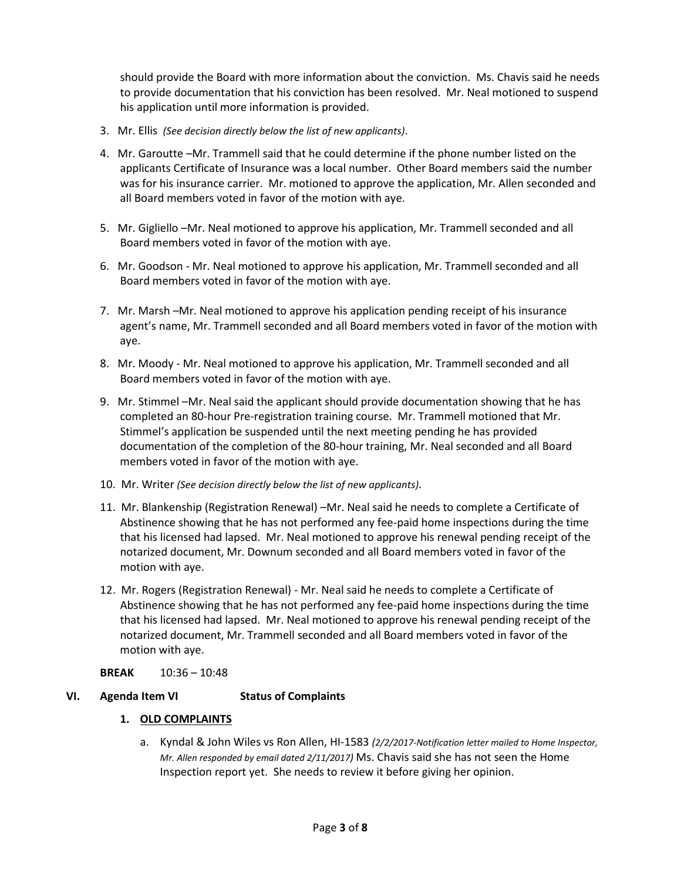should provide the Board with more information about the conviction. Ms. Chavis said he needs to provide documentation that his conviction has been resolved. Mr. Neal motioned to suspend his application until more information is provided.

- 3. Mr. Ellis *(See decision directly below the list of new applicants)*.
- 4. Mr. Garoutte –Mr. Trammell said that he could determine if the phone number listed on the applicants Certificate of Insurance was a local number. Other Board members said the number was for his insurance carrier. Mr. motioned to approve the application, Mr. Allen seconded and all Board members voted in favor of the motion with aye.
- 5. Mr. Gigliello –Mr. Neal motioned to approve his application, Mr. Trammell seconded and all Board members voted in favor of the motion with aye.
- 6. Mr. Goodson Mr. Neal motioned to approve his application, Mr. Trammell seconded and all Board members voted in favor of the motion with aye.
- 7. Mr. Marsh –Mr. Neal motioned to approve his application pending receipt of his insurance agent's name, Mr. Trammell seconded and all Board members voted in favor of the motion with aye.
- 8. Mr. Moody Mr. Neal motioned to approve his application, Mr. Trammell seconded and all Board members voted in favor of the motion with aye.
- 9. Mr. Stimmel –Mr. Neal said the applicant should provide documentation showing that he has completed an 80-hour Pre-registration training course. Mr. Trammell motioned that Mr. Stimmel's application be suspended until the next meeting pending he has provided documentation of the completion of the 80-hour training, Mr. Neal seconded and all Board members voted in favor of the motion with aye.
- 10. Mr. Writer *(See decision directly below the list of new applicants)*.
- 11. Mr. Blankenship (Registration Renewal) –Mr. Neal said he needs to complete a Certificate of Abstinence showing that he has not performed any fee-paid home inspections during the time that his licensed had lapsed. Mr. Neal motioned to approve his renewal pending receipt of the notarized document, Mr. Downum seconded and all Board members voted in favor of the motion with aye.
- 12. Mr. Rogers (Registration Renewal) Mr. Neal said he needs to complete a Certificate of Abstinence showing that he has not performed any fee-paid home inspections during the time that his licensed had lapsed. Mr. Neal motioned to approve his renewal pending receipt of the notarized document, Mr. Trammell seconded and all Board members voted in favor of the motion with aye.

### **BREAK** 10:36 – 10:48

# **VI. Agenda Item VI Status of Complaints**

### **1. OLD COMPLAINTS**

a. Kyndal & John Wiles vs Ron Allen, HI-1583 *(2/2/2017-Notification letter mailed to Home Inspector, Mr. Allen responded by email dated 2/11/2017)* Ms. Chavis said she has not seen the Home Inspection report yet. She needs to review it before giving her opinion.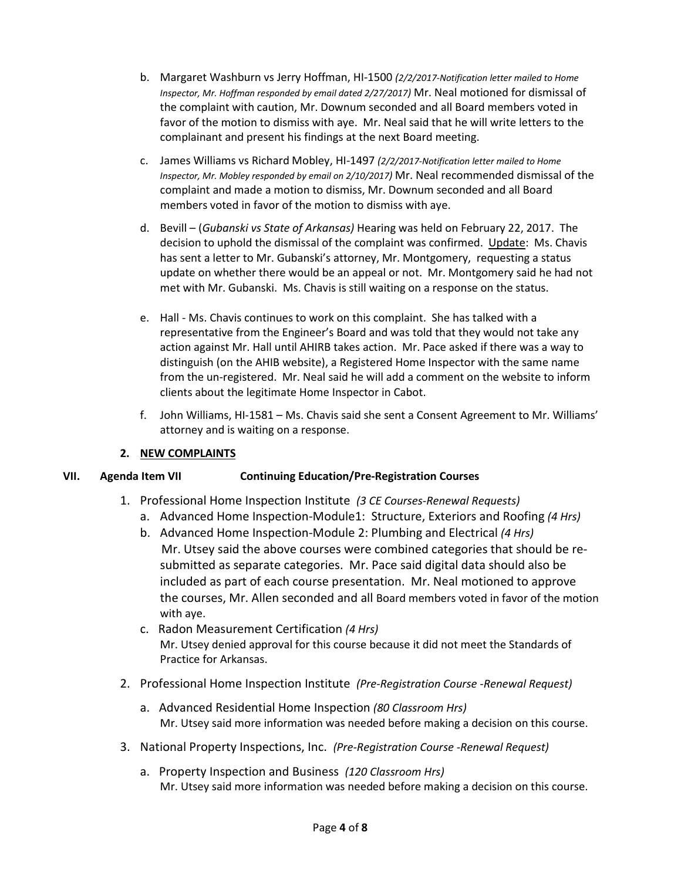- b. Margaret Washburn vs Jerry Hoffman, HI-1500 *(2/2/2017-Notification letter mailed to Home Inspector, Mr. Hoffman responded by email dated 2/27/2017)* Mr. Neal motioned for dismissal of the complaint with caution, Mr. Downum seconded and all Board members voted in favor of the motion to dismiss with aye. Mr. Neal said that he will write letters to the complainant and present his findings at the next Board meeting.
- c. James Williams vs Richard Mobley, HI-1497 *(2/2/2017-Notification letter mailed to Home Inspector, Mr. Mobley responded by email on 2/10/2017)* Mr. Neal recommended dismissal of the complaint and made a motion to dismiss, Mr. Downum seconded and all Board members voted in favor of the motion to dismiss with aye.
- d. Bevill (*Gubanski vs State of Arkansas)* Hearing was held on February 22, 2017. The decision to uphold the dismissal of the complaint was confirmed. Update: Ms. Chavis has sent a letter to Mr. Gubanski's attorney, Mr. Montgomery, requesting a status update on whether there would be an appeal or not. Mr. Montgomery said he had not met with Mr. Gubanski. Ms. Chavis is still waiting on a response on the status.
- e. Hall Ms. Chavis continues to work on this complaint. She has talked with a representative from the Engineer's Board and was told that they would not take any action against Mr. Hall until AHIRB takes action. Mr. Pace asked if there was a way to distinguish (on the AHIB website), a Registered Home Inspector with the same name from the un-registered. Mr. Neal said he will add a comment on the website to inform clients about the legitimate Home Inspector in Cabot.
- f. John Williams, HI-1581 Ms. Chavis said she sent a Consent Agreement to Mr. Williams' attorney and is waiting on a response.

# **2. NEW COMPLAINTS**

# **VII. Agenda Item VII Continuing Education/Pre-Registration Courses**

- 1. Professional Home Inspection Institute *(3 CE Courses-Renewal Requests)*
	- a. Advanced Home Inspection-Module1: Structure, Exteriors and Roofing *(4 Hrs)*
	- b. Advanced Home Inspection-Module 2: Plumbing and Electrical *(4 Hrs)* Mr. Utsey said the above courses were combined categories that should be resubmitted as separate categories. Mr. Pace said digital data should also be included as part of each course presentation. Mr. Neal motioned to approve the courses, Mr. Allen seconded and all Board members voted in favor of the motion with aye.
	- c. Radon Measurement Certification *(4 Hrs)* Mr. Utsey denied approval for this course because it did not meet the Standards of Practice for Arkansas.
- 2. Professional Home Inspection Institute *(Pre-Registration Course -Renewal Request)*
	- a. Advanced Residential Home Inspection *(80 Classroom Hrs)* Mr. Utsey said more information was needed before making a decision on this course.
- 3. National Property Inspections, Inc. *(Pre-Registration Course -Renewal Request)*
	- a. Property Inspection and Business *(120 Classroom Hrs)* Mr. Utsey said more information was needed before making a decision on this course.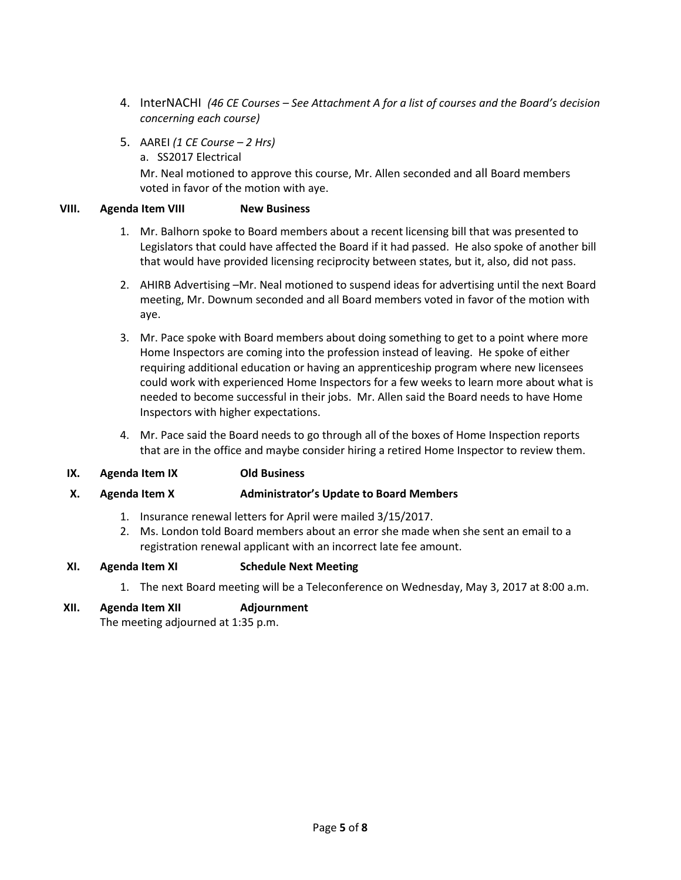- 4. InterNACHI *(46 CE Courses – See Attachment A for a list of courses and the Board's decision concerning each course)*
- 5. AAREI *(1 CE Course – 2 Hrs)* 
	- a. SS2017 Electrical

Mr. Neal motioned to approve this course, Mr. Allen seconded and all Board members voted in favor of the motion with aye.

### **VIII. Agenda Item VIII New Business**

- 1. Mr. Balhorn spoke to Board members about a recent licensing bill that was presented to Legislators that could have affected the Board if it had passed. He also spoke of another bill that would have provided licensing reciprocity between states, but it, also, did not pass.
- 2. AHIRB Advertising –Mr. Neal motioned to suspend ideas for advertising until the next Board meeting, Mr. Downum seconded and all Board members voted in favor of the motion with aye.
- 3. Mr. Pace spoke with Board members about doing something to get to a point where more Home Inspectors are coming into the profession instead of leaving. He spoke of either requiring additional education or having an apprenticeship program where new licensees could work with experienced Home Inspectors for a few weeks to learn more about what is needed to become successful in their jobs. Mr. Allen said the Board needs to have Home Inspectors with higher expectations.
- 4. Mr. Pace said the Board needs to go through all of the boxes of Home Inspection reports that are in the office and maybe consider hiring a retired Home Inspector to review them.

# **IX. Agenda Item IX Old Business**

### **X. Agenda Item X Administrator's Update to Board Members**

- 1. Insurance renewal letters for April were mailed 3/15/2017.
- 2. Ms. London told Board members about an error she made when she sent an email to a registration renewal applicant with an incorrect late fee amount.

### **XI. Agenda Item XI Schedule Next Meeting**

1. The next Board meeting will be a Teleconference on Wednesday, May 3, 2017 at 8:00 a.m.

### **XII. Agenda Item XII Adjournment**

The meeting adjourned at 1:35 p.m.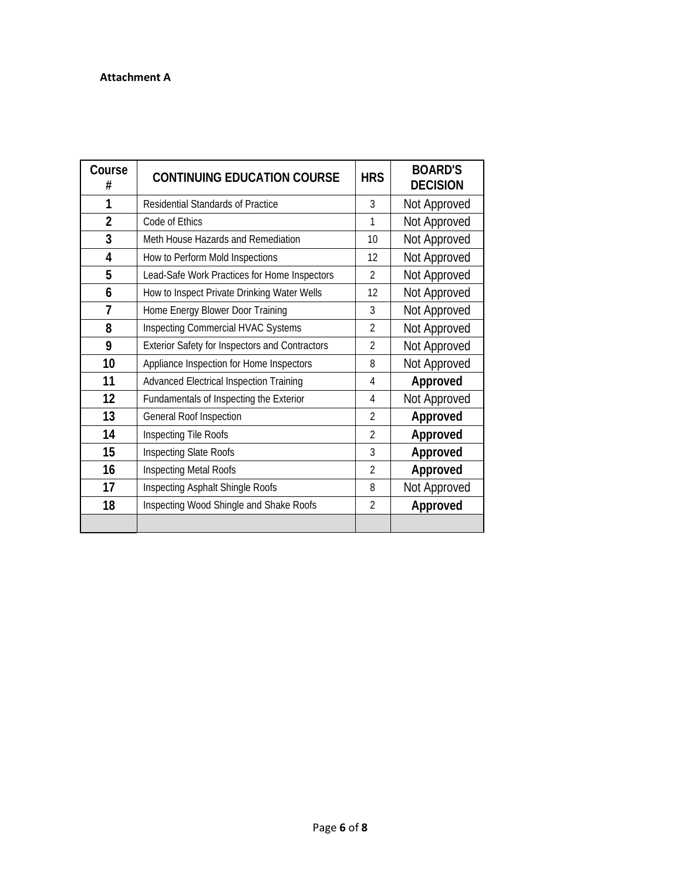#### **Attachment A**

| Course<br>#    | <b>CONTINUING EDUCATION COURSE</b>                    |                | <b>BOARD'S</b><br><b>DECISION</b> |
|----------------|-------------------------------------------------------|----------------|-----------------------------------|
| 1              | <b>Residential Standards of Practice</b>              | 3              | Not Approved                      |
| $\overline{2}$ | Code of Ethics                                        | 1              | Not Approved                      |
| 3              | Meth House Hazards and Remediation                    | 10             | Not Approved                      |
| 4              | How to Perform Mold Inspections                       | 12             | Not Approved                      |
| 5              | Lead-Safe Work Practices for Home Inspectors          | $\mathfrak{D}$ | Not Approved                      |
| 6              | How to Inspect Private Drinking Water Wells           | 12             | Not Approved                      |
| $\overline{7}$ | Home Energy Blower Door Training                      | 3              | Not Approved                      |
| 8              | <b>Inspecting Commercial HVAC Systems</b>             | $\overline{2}$ | Not Approved                      |
| 9              | <b>Exterior Safety for Inspectors and Contractors</b> | $\mathfrak{D}$ | Not Approved                      |
| 10             | Appliance Inspection for Home Inspectors              | 8              | Not Approved                      |
| 11             | <b>Advanced Electrical Inspection Training</b>        | 4              | Approved                          |
| 12             | Fundamentals of Inspecting the Exterior               | 4              | Not Approved                      |
| 13             | General Roof Inspection                               | $\mathfrak{D}$ | Approved                          |
| 14             | Inspecting Tile Roofs                                 | $\mathfrak{D}$ | Approved                          |
| 15             | Inspecting Slate Roofs                                | 3              | Approved                          |
| 16             | Inspecting Metal Roofs                                | $\overline{2}$ | Approved                          |
| 17             | Inspecting Asphalt Shingle Roofs                      | 8              | Not Approved                      |
| 18             | Inspecting Wood Shingle and Shake Roofs               | $\mathfrak{D}$ | Approved                          |
|                |                                                       |                |                                   |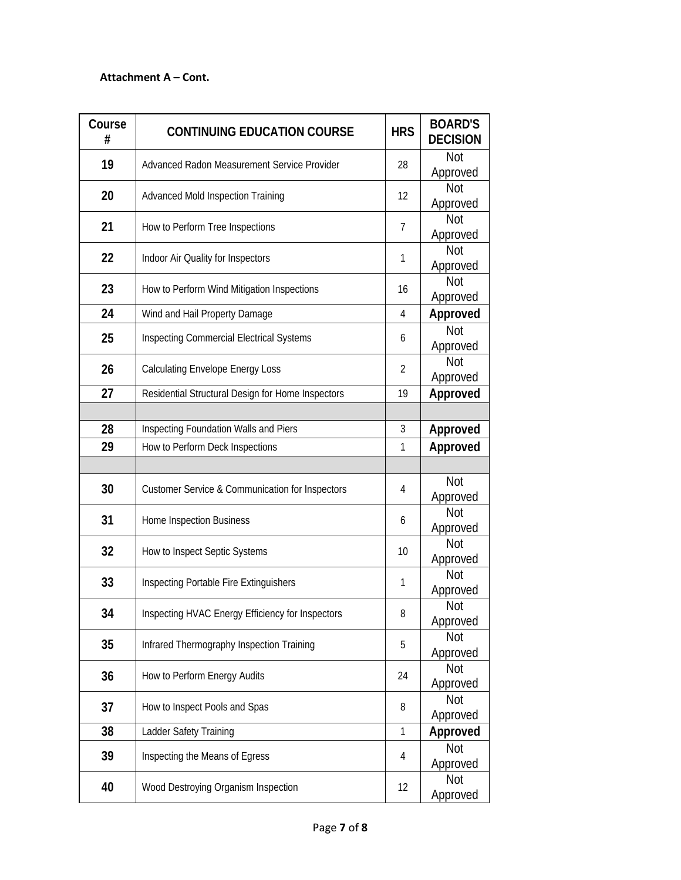### **Attachment A – Cont.**

| Course<br># | <b>CONTINUING EDUCATION COURSE</b>                         | <b>HRS</b>     | <b>BOARD'S</b><br><b>DECISION</b> |
|-------------|------------------------------------------------------------|----------------|-----------------------------------|
| 19          | Advanced Radon Measurement Service Provider                | 28             | Not<br>Approved                   |
| 20          | <b>Advanced Mold Inspection Training</b>                   | 12             | <b>Not</b><br>Approved            |
| 21          | How to Perform Tree Inspections                            | $\overline{7}$ | Not<br>Approved                   |
| 22          | Indoor Air Quality for Inspectors                          | 1              | <b>Not</b><br>Approved            |
| 23          | How to Perform Wind Mitigation Inspections                 | 16             | <b>Not</b><br>Approved            |
| 24          | Wind and Hail Property Damage                              | 4              | Approved                          |
| 25          | <b>Inspecting Commercial Electrical Systems</b>            | 6              | <b>Not</b><br>Approved            |
| 26          | <b>Calculating Envelope Energy Loss</b>                    | 2              | <b>Not</b><br>Approved            |
| 27          | Residential Structural Design for Home Inspectors          | 19             | Approved                          |
|             |                                                            |                |                                   |
| 28          | Inspecting Foundation Walls and Piers                      | 3              | Approved                          |
| 29          | How to Perform Deck Inspections                            | 1              | Approved                          |
|             |                                                            |                |                                   |
| 30          | <b>Customer Service &amp; Communication for Inspectors</b> | 4              | <b>Not</b><br>Approved            |
| 31          | Home Inspection Business                                   | 6              | <b>Not</b><br>Approved            |
| 32          | How to Inspect Septic Systems                              | 10             | <b>Not</b><br>Approved            |
| 33          | Inspecting Portable Fire Extinguishers                     | 1              | <b>Not</b><br>Approved            |
| 34          | Inspecting HVAC Energy Efficiency for Inspectors           | 8              | Not<br>Approved                   |
| 35          | Infrared Thermography Inspection Training                  | 5              | <b>Not</b><br>Approved            |
| 36          | How to Perform Energy Audits                               | 24             | <b>Not</b><br>Approved            |
| 37          | How to Inspect Pools and Spas                              | 8              | Not<br>Approved                   |
| 38          | Ladder Safety Training                                     | $\mathbf{1}$   | Approved                          |
| 39          | Inspecting the Means of Egress                             | 4              | <b>Not</b><br>Approved            |
| 40          | Wood Destroying Organism Inspection                        | 12             | <b>Not</b><br>Approved            |